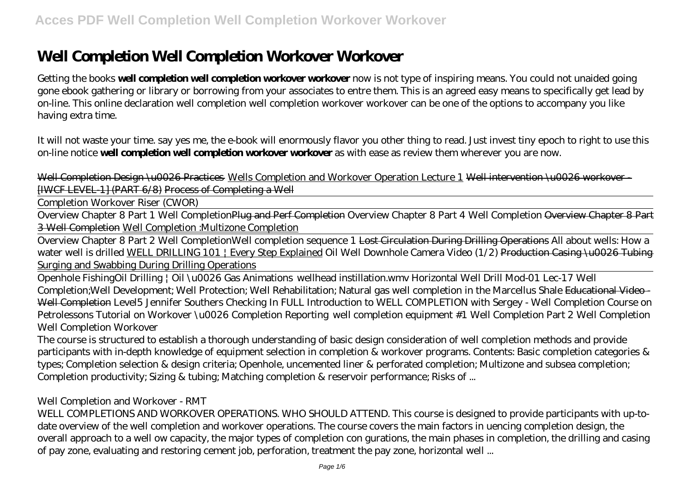# **Well Completion Well Completion Workover Workover**

Getting the books **well completion well completion workover workover** now is not type of inspiring means. You could not unaided going gone ebook gathering or library or borrowing from your associates to entre them. This is an agreed easy means to specifically get lead by on-line. This online declaration well completion well completion workover workover can be one of the options to accompany you like having extra time.

It will not waste your time. say yes me, the e-book will enormously flavor you other thing to read. Just invest tiny epoch to right to use this on-line notice **well completion well completion workover workover** as with ease as review them wherever you are now.

Well Completion Design \u0026 Practices Wells Completion and Workover Operation Lecture 1 Well intervention \u0026 workover -[IWCF LEVEL-1] (PART 6/8) Process of Completing a Well

Completion Workover Riser (CWOR)

Overview Chapter 8 Part 1 Well CompletionPlug and Perf Completion Overview Chapter 8 Part 4 Well Completion Overview Chapter 8 Part 3 Well Completion Well Completion :Multizone Completion

Overview Chapter 8 Part 2 Well Completion*Well completion sequence 1* Lost Circulation During Drilling Operations *All about wells: How a water well is drilled* WELL DRILLING 101 | Every Step Explained Oil Well Downhole Camera Video (1/2) Production Casing \u0026 Tubing Surging and Swabbing During Drilling Operations

Openhole Fishing*Oil Drilling | Oil \u0026 Gas Animations wellhead instillation.wmv Horizontal Well Drill Mod-01 Lec-17 Well Completion;Well Development; Well Protection; Well Rehabilitation; Natural gas well completion in the Marcellus Shale* Educational Video - Well Completion Level5 Jennifer Southers Checking In FULL *Introduction to WELL COMPLETION with Sergey - Well Completion Course on Petrolessons Tutorial on Workover \u0026 Completion Reporting well completion equipment #1 Well Completion Part 2 Well Completion Well Completion Workover*

The course is structured to establish a thorough understanding of basic design consideration of well completion methods and provide participants with in-depth knowledge of equipment selection in completion & workover programs. Contents: Basic completion categories & types; Completion selection & design criteria; Openhole, uncemented liner & perforated completion; Multizone and subsea completion; Completion productivity; Sizing & tubing; Matching completion & reservoir performance; Risks of ...

# *Well Completion and Workover - RMT*

WELL COMPLETIONS AND WORKOVER OPERATIONS. WHO SHOULD ATTEND. This course is designed to provide participants with up-todate overview of the well completion and workover operations. The course covers the main factors in uencing completion design, the overall approach to a well ow capacity, the major types of completion con gurations, the main phases in completion, the drilling and casing of pay zone, evaluating and restoring cement job, perforation, treatment the pay zone, horizontal well ...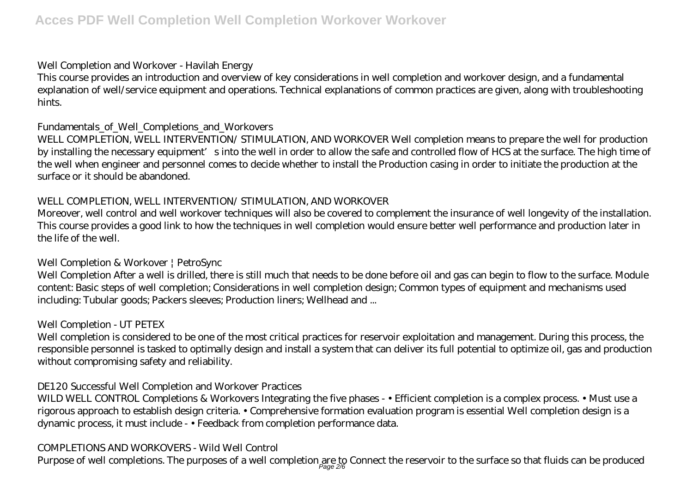#### *Well Completion and Workover - Havilah Energy*

This course provides an introduction and overview of key considerations in well completion and workover design, and a fundamental explanation of well/service equipment and operations. Technical explanations of common practices are given, along with troubleshooting hints.

# *Fundamentals\_of\_Well\_Completions\_and\_Workovers*

WELL COMPLETION, WELL INTERVENTION/ STIMULATION, AND WORKOVER Well completion means to prepare the well for production by installing the necessary equipment's into the well in order to allow the safe and controlled flow of HCS at the surface. The high time of the well when engineer and personnel comes to decide whether to install the Production casing in order to initiate the production at the surface or it should be abandoned.

# *WELL COMPLETION, WELL INTERVENTION/ STIMULATION, AND WORKOVER*

Moreover, well control and well workover techniques will also be covered to complement the insurance of well longevity of the installation. This course provides a good link to how the techniques in well completion would ensure better well performance and production later in the life of the well.

# *Well Completion & Workover | PetroSync*

Well Completion After a well is drilled, there is still much that needs to be done before oil and gas can begin to flow to the surface. Module content: Basic steps of well completion; Considerations in well completion design; Common types of equipment and mechanisms used including: Tubular goods; Packers sleeves; Production liners; Wellhead and ...

# *Well Completion - UT PETEX*

Well completion is considered to be one of the most critical practices for reservoir exploitation and management. During this process, the responsible personnel is tasked to optimally design and install a system that can deliver its full potential to optimize oil, gas and production without compromising safety and reliability.

# *DE120 Successful Well Completion and Workover Practices*

WILD WELL CONTROL Completions & Workovers Integrating the five phases - • Efficient completion is a complex process. • Must use a rigorous approach to establish design criteria. • Comprehensive formation evaluation program is essential Well completion design is a dynamic process, it must include - • Feedback from completion performance data.

# *COMPLETIONS AND WORKOVERS - Wild Well Control*

Purpose of well completions. The purposes of a well completion are to Connect the reservoir to the surface so that fluids can be produced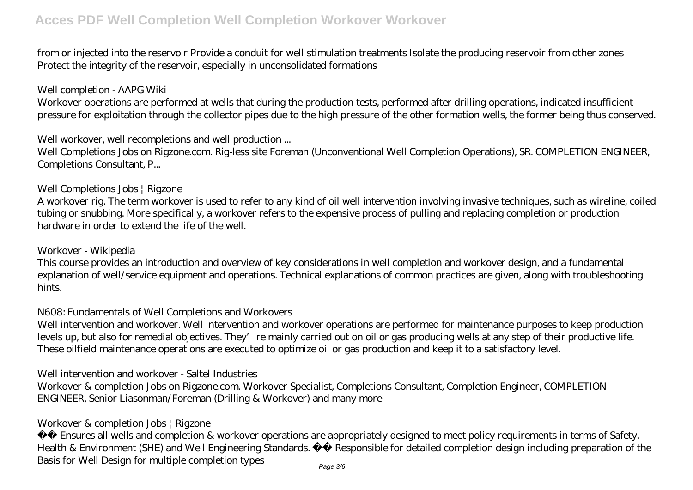from or injected into the reservoir Provide a conduit for well stimulation treatments Isolate the producing reservoir from other zones Protect the integrity of the reservoir, especially in unconsolidated formations

#### *Well completion - AAPG Wiki*

Workover operations are performed at wells that during the production tests, performed after drilling operations, indicated insufficient pressure for exploitation through the collector pipes due to the high pressure of the other formation wells, the former being thus conserved.

#### *Well workover, well recompletions and well production ...*

Well Completions Jobs on Rigzone.com. Rig-less site Foreman (Unconventional Well Completion Operations), SR. COMPLETION ENGINEER, Completions Consultant, P...

#### *Well Completions Jobs | Rigzone*

A workover rig. The term workover is used to refer to any kind of oil well intervention involving invasive techniques, such as wireline, coiled tubing or snubbing. More specifically, a workover refers to the expensive process of pulling and replacing completion or production hardware in order to extend the life of the well.

#### *Workover - Wikipedia*

This course provides an introduction and overview of key considerations in well completion and workover design, and a fundamental explanation of well/service equipment and operations. Technical explanations of common practices are given, along with troubleshooting hints.

#### *N608: Fundamentals of Well Completions and Workovers*

Well intervention and workover. Well intervention and workover operations are performed for maintenance purposes to keep production levels up, but also for remedial objectives. They're mainly carried out on oil or gas producing wells at any step of their productive life. These oilfield maintenance operations are executed to optimize oil or gas production and keep it to a satisfactory level.

#### *Well intervention and workover - Saltel Industries*

Workover & completion Jobs on Rigzone.com. Workover Specialist, Completions Consultant, Completion Engineer, COMPLETION ENGINEER, Senior Liasonman/Foreman (Drilling & Workover) and many more

#### *Workover & completion Jobs | Rigzone*

 Ensures all wells and completion & workover operations are appropriately designed to meet policy requirements in terms of Safety, Health & Environment (SHE) and Well Engineering Standards. Responsible for detailed completion design including preparation of the Basis for Well Design for multiple completion types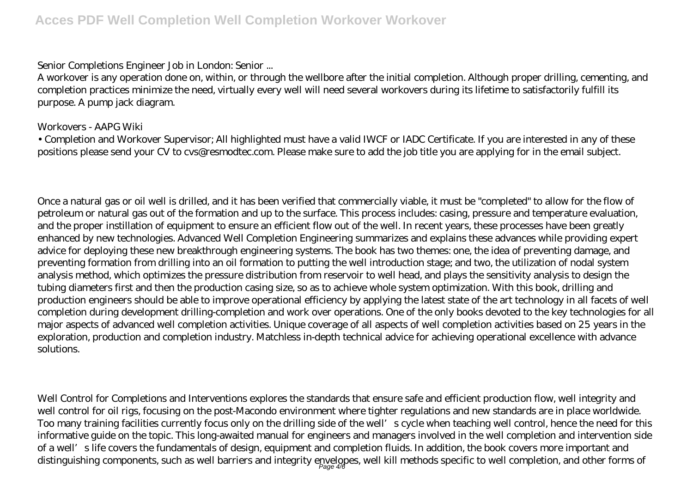#### *Senior Completions Engineer Job in London: Senior ...*

A workover is any operation done on, within, or through the wellbore after the initial completion. Although proper drilling, cementing, and completion practices minimize the need, virtually every well will need several workovers during its lifetime to satisfactorily fulfill its purpose. A pump jack diagram.

# *Workovers - AAPG Wiki*

• Completion and Workover Supervisor; All highlighted must have a valid IWCF or IADC Certificate. If you are interested in any of these positions please send your CV to cvs@resmodtec.com. Please make sure to add the job title you are applying for in the email subject.

Once a natural gas or oil well is drilled, and it has been verified that commercially viable, it must be "completed" to allow for the flow of petroleum or natural gas out of the formation and up to the surface. This process includes: casing, pressure and temperature evaluation, and the proper instillation of equipment to ensure an efficient flow out of the well. In recent years, these processes have been greatly enhanced by new technologies. Advanced Well Completion Engineering summarizes and explains these advances while providing expert advice for deploying these new breakthrough engineering systems. The book has two themes: one, the idea of preventing damage, and preventing formation from drilling into an oil formation to putting the well introduction stage; and two, the utilization of nodal system analysis method, which optimizes the pressure distribution from reservoir to well head, and plays the sensitivity analysis to design the tubing diameters first and then the production casing size, so as to achieve whole system optimization. With this book, drilling and production engineers should be able to improve operational efficiency by applying the latest state of the art technology in all facets of well completion during development drilling-completion and work over operations. One of the only books devoted to the key technologies for all major aspects of advanced well completion activities. Unique coverage of all aspects of well completion activities based on 25 years in the exploration, production and completion industry. Matchless in-depth technical advice for achieving operational excellence with advance solutions.

Well Control for Completions and Interventions explores the standards that ensure safe and efficient production flow, well integrity and well control for oil rigs, focusing on the post-Macondo environment where tighter regulations and new standards are in place worldwide. Too many training facilities currently focus only on the drilling side of the well's cycle when teaching well control, hence the need for this informative guide on the topic. This long-awaited manual for engineers and managers involved in the well completion and intervention side of a well's life covers the fundamentals of design, equipment and completion fluids. In addition, the book covers more important and distinguishing components, such as well barriers and integrity envelopes, well kill methods specific to well completion, and other forms of Page 4/6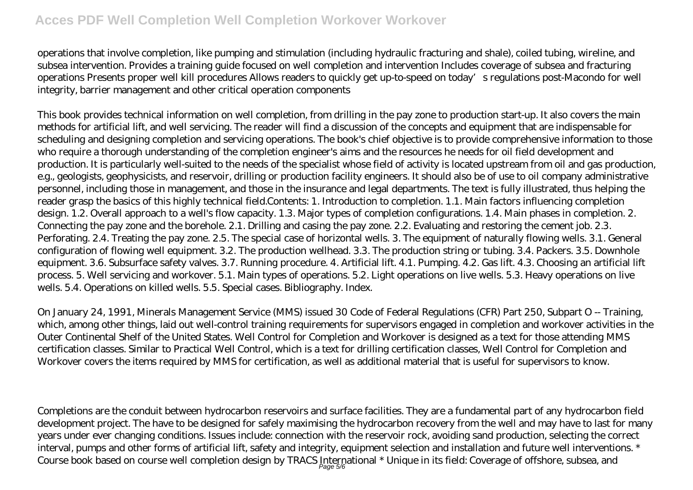# **Acces PDF Well Completion Well Completion Workover Workover**

operations that involve completion, like pumping and stimulation (including hydraulic fracturing and shale), coiled tubing, wireline, and subsea intervention. Provides a training guide focused on well completion and intervention Includes coverage of subsea and fracturing operations Presents proper well kill procedures Allows readers to quickly get up-to-speed on today's regulations post-Macondo for well integrity, barrier management and other critical operation components

This book provides technical information on well completion, from drilling in the pay zone to production start-up. It also covers the main methods for artificial lift, and well servicing. The reader will find a discussion of the concepts and equipment that are indispensable for scheduling and designing completion and servicing operations. The book's chief objective is to provide comprehensive information to those who require a thorough understanding of the completion engineer's aims and the resources he needs for oil field development and production. It is particularly well-suited to the needs of the specialist whose field of activity is located upstream from oil and gas production, e.g., geologists, geophysicists, and reservoir, drilling or production facility engineers. It should also be of use to oil company administrative personnel, including those in management, and those in the insurance and legal departments. The text is fully illustrated, thus helping the reader grasp the basics of this highly technical field.Contents: 1. Introduction to completion. 1.1. Main factors influencing completion design. 1.2. Overall approach to a well's flow capacity. 1.3. Major types of completion configurations. 1.4. Main phases in completion. 2. Connecting the pay zone and the borehole. 2.1. Drilling and casing the pay zone. 2.2. Evaluating and restoring the cement job. 2.3. Perforating. 2.4. Treating the pay zone. 2.5. The special case of horizontal wells. 3. The equipment of naturally flowing wells. 3.1. General configuration of flowing well equipment. 3.2. The production wellhead. 3.3. The production string or tubing. 3.4. Packers. 3.5. Downhole equipment. 3.6. Subsurface safety valves. 3.7. Running procedure. 4. Artificial lift. 4.1. Pumping. 4.2. Gas lift. 4.3. Choosing an artificial lift process. 5. Well servicing and workover. 5.1. Main types of operations. 5.2. Light operations on live wells. 5.3. Heavy operations on live wells. 5.4. Operations on killed wells. 5.5. Special cases. Bibliography. Index.

On January 24, 1991, Minerals Management Service (MMS) issued 30 Code of Federal Regulations (CFR) Part 250, Subpart O -- Training, which, among other things, laid out well-control training requirements for supervisors engaged in completion and workover activities in the Outer Continental Shelf of the United States. Well Control for Completion and Workover is designed as a text for those attending MMS certification classes. Similar to Practical Well Control, which is a text for drilling certification classes, Well Control for Completion and Workover covers the items required by MMS for certification, as well as additional material that is useful for supervisors to know.

Completions are the conduit between hydrocarbon reservoirs and surface facilities. They are a fundamental part of any hydrocarbon field development project. The have to be designed for safely maximising the hydrocarbon recovery from the well and may have to last for many years under ever changing conditions. Issues include: connection with the reservoir rock, avoiding sand production, selecting the correct interval, pumps and other forms of artificial lift, safety and integrity, equipment selection and installation and future well interventions. \* Course book based on course well completion design by TRACS International \* Unique in its field: Coverage of offshore, subsea, and